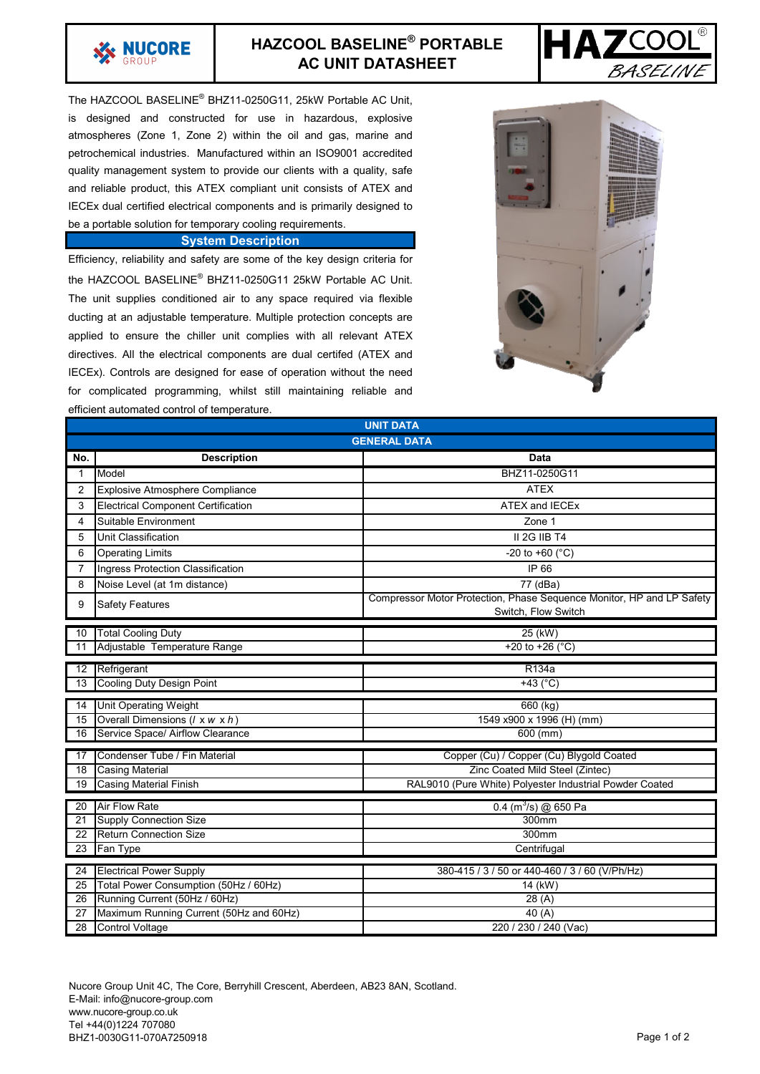

## **HAZCOOL BASELINE® PORTABLE AC UNIT DATASHEET**



The HAZCOOL BASELINE® BHZ11-0250G11, 25kW Portable AC Unit, is designed and constructed for use in hazardous, explosive atmospheres (Zone 1, Zone 2) within the oil and gas, marine and petrochemical industries. Manufactured within an ISO9001 accredited quality management system to provide our clients with a quality, safe and reliable product, this ATEX compliant unit consists of ATEX and IECEx dual certified electrical components and is primarily designed to be a portable solution for temporary cooling requirements.

## **System Description**

Efficiency, reliability and safety are some of the key design criteria for the HAZCOOL BASELINE® BHZ11-0250G11 25kW Portable AC Unit. The unit supplies conditioned air to any space required via flexible ducting at an adjustable temperature. Multiple protection concepts are applied to ensure the chiller unit complies with all relevant ATEX directives. All the electrical components are dual certifed (ATEX and IECEx). Controls are designed for ease of operation without the need for complicated programming, whilst still maintaining reliable and efficient automated control of temperature.



| emcient automated control or temperature.<br><b>UNIT DATA</b> |                                                 |                                                                                              |
|---------------------------------------------------------------|-------------------------------------------------|----------------------------------------------------------------------------------------------|
|                                                               |                                                 |                                                                                              |
| <b>GENERAL DATA</b>                                           |                                                 |                                                                                              |
| No.                                                           | <b>Description</b>                              | Data                                                                                         |
| $\mathbf{1}$                                                  | Model                                           | BHZ11-0250G11                                                                                |
| $\overline{2}$                                                | <b>Explosive Atmosphere Compliance</b>          | <b>ATEX</b>                                                                                  |
| 3                                                             | <b>Electrical Component Certification</b>       | <b>ATEX and IECEx</b>                                                                        |
| 4                                                             | Suitable Environment                            | Zone 1                                                                                       |
| 5                                                             | Unit Classification                             | II 2G IIB T4                                                                                 |
| 6                                                             | <b>Operating Limits</b>                         | -20 to +60 ( $^{\circ}$ C)                                                                   |
| $\overline{7}$                                                | Ingress Protection Classification               | IP 66                                                                                        |
| 8                                                             | Noise Level (at 1m distance)                    | 77 (dBa)                                                                                     |
| 9                                                             | <b>Safety Features</b>                          | Compressor Motor Protection, Phase Sequence Monitor, HP and LP Safety<br>Switch, Flow Switch |
| 10                                                            | <b>Total Cooling Duty</b>                       | $25$ (kW)                                                                                    |
| 11                                                            | Adjustable Temperature Range                    | +20 to +26 ( $^{\circ}$ C)                                                                   |
| R134a<br>12                                                   |                                                 |                                                                                              |
| 13                                                            | Refrigerant<br><b>Cooling Duty Design Point</b> | +43 $(^{\circ}C)$                                                                            |
|                                                               |                                                 |                                                                                              |
| $\overline{14}$                                               | <b>Unit Operating Weight</b>                    | 660 (kg)                                                                                     |
| 15                                                            | Overall Dimensions (/ x w x h)                  | 1549 x900 x 1996 (H) (mm)                                                                    |
| 16                                                            | Service Space/ Airflow Clearance                | 600 (mm)                                                                                     |
| 17                                                            | Condenser Tube / Fin Material                   | Copper (Cu) / Copper (Cu) Blygold Coated                                                     |
| 18                                                            | <b>Casing Material</b>                          | Zinc Coated Mild Steel (Zintec)                                                              |
| 19                                                            | <b>Casing Material Finish</b>                   | RAL9010 (Pure White) Polyester Industrial Powder Coated                                      |
| 20                                                            | <b>Air Flow Rate</b>                            | $0.4$ (m <sup>3</sup> /s) @ 650 Pa                                                           |
| 21                                                            | <b>Supply Connection Size</b>                   | 300mm                                                                                        |
| 22                                                            | <b>Return Connection Size</b>                   | 300mm                                                                                        |
| 23                                                            | Fan Type                                        | Centrifugal                                                                                  |
|                                                               |                                                 |                                                                                              |
| 24                                                            | <b>Electrical Power Supply</b>                  | 380-415 / 3 / 50 or 440-460 / 3 / 60 (V/Ph/Hz)                                               |
| 25                                                            | Total Power Consumption (50Hz / 60Hz)           | 14 (kW)                                                                                      |
| 26                                                            | Running Current (50Hz / 60Hz)                   | 28 (A)                                                                                       |
| 27                                                            | Maximum Running Current (50Hz and 60Hz)         | 40(A)                                                                                        |
| 28                                                            | <b>Control Voltage</b>                          | 220 / 230 / 240 (Vac)                                                                        |